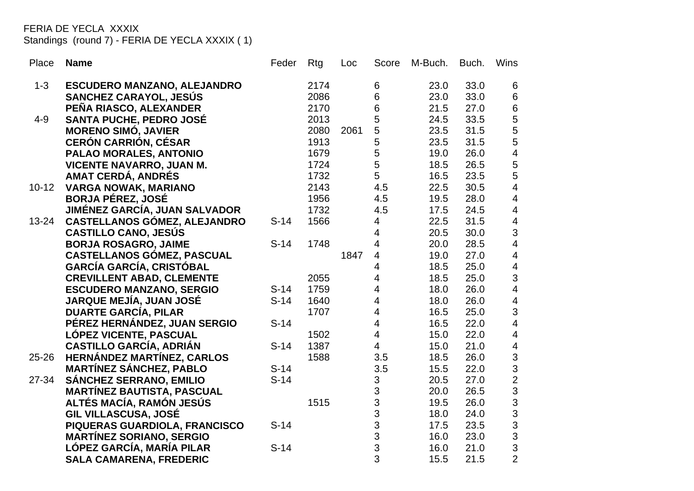FERIA DE YECLA XXXIX

Standings (round 7) - FERIA DE YECLA XXXIX ( 1)

| Place     | <b>Name</b>                                                         | Feder  | Rtg          | Loc  | Score                     | M-Buch.      | Buch.        | Wins                                               |
|-----------|---------------------------------------------------------------------|--------|--------------|------|---------------------------|--------------|--------------|----------------------------------------------------|
| $1 - 3$   | <b>ESCUDERO MANZANO, ALEJANDRO</b>                                  |        | 2174         |      | 6                         | 23.0         | 33.0         | 6                                                  |
|           | SANCHEZ CARAYOL, JESÚS                                              |        | 2086         |      | 6                         | 23.0         | 33.0         | $\,6\,$                                            |
|           | PEÑA RIASCO, ALEXANDER                                              |        | 2170         |      | 6                         | 21.5         | 27.0         |                                                    |
| $4 - 9$   | <b>SANTA PUCHE, PEDRO JOSÉ</b>                                      |        | 2013         |      | 5                         | 24.5         | 33.5         |                                                    |
|           | <b>MORENO SIMÓ, JAVIER</b>                                          |        | 2080         | 2061 | 5                         | 23.5         | 31.5         |                                                    |
|           | <b>CERÓN CARRIÓN, CÉSAR</b>                                         |        | 1913         |      | 5                         | 23.5         | 31.5         |                                                    |
|           | PALAO MORALES, ANTONIO                                              |        | 1679         |      | 5                         | 19.0         | 26.0         |                                                    |
|           | <b>VICENTE NAVARRO, JUAN M.</b>                                     |        | 1724         |      | 5                         | 18.5         | 26.5         | 6555455                                            |
|           | <b>AMAT CERDÁ, ANDRÉS</b>                                           |        | 1732         |      | 5                         | 16.5         | 23.5         |                                                    |
| $10 - 12$ | <b>VARGA NOWAK, MARIANO</b>                                         |        | 2143         |      | 4.5                       | 22.5         | 30.5         | $\overline{\mathbf{4}}$                            |
|           | <b>BORJA PÉREZ, JOSÉ</b>                                            |        | 1956         |      | 4.5                       | 19.5         | 28.0         | $\overline{\mathbf{4}}$                            |
|           | <b>JIMÉNEZ GARCÍA, JUAN SALVADOR</b>                                |        | 1732         |      | 4.5                       | 17.5         | 24.5         | $\overline{\mathbf{4}}$                            |
| $13 - 24$ | <b>CASTELLANOS GÓMEZ, ALEJANDRO</b>                                 | $S-14$ | 1566         |      | 4                         | 22.5         | 31.5         | $\overline{\mathbf{4}}$                            |
|           | <b>CASTILLO CANO, JESÚS</b>                                         |        |              |      | $\overline{4}$            | 20.5         | 30.0         | 3                                                  |
|           | <b>BORJA ROSAGRO, JAIME</b>                                         | $S-14$ | 1748         |      | $\overline{4}$            | 20.0         | 28.5         | $\overline{\mathbf{4}}$                            |
|           | <b>CASTELLANOS GÓMEZ, PASCUAL</b>                                   |        |              | 1847 | 4                         | 19.0         | 27.0         | $\overline{\mathbf{4}}$                            |
|           | <b>GARCÍA GARCÍA, CRISTÓBAL</b>                                     |        |              |      | 4                         | 18.5         | 25.0         | $\begin{array}{c} 4 \\ 3 \\ 4 \end{array}$         |
|           | <b>CREVILLENT ABAD, CLEMENTE</b>                                    |        | 2055         |      | 4                         | 18.5         | 25.0         |                                                    |
|           | <b>ESCUDERO MANZANO, SERGIO</b>                                     | $S-14$ | 1759         |      | 4                         | 18.0         | 26.0         |                                                    |
|           | <b>JARQUE MEJÍA, JUAN JOSÉ</b>                                      | $S-14$ | 1640         |      | 4                         | 18.0         | 26.0         | $\frac{4}{3}$                                      |
|           | <b>DUARTE GARCÍA, PILAR</b>                                         |        | 1707         |      | $\overline{\mathbf{4}}$   | 16.5         | 25.0         |                                                    |
|           | PÉREZ HERNÁNDEZ, JUAN SERGIO                                        | $S-14$ |              |      | 4<br>$\overline{4}$       | 16.5         | 22.0<br>22.0 | $\overline{\mathbf{4}}$<br>$\overline{\mathbf{4}}$ |
|           | LÓPEZ VICENTE, PASCUAL                                              | $S-14$ | 1502<br>1387 |      | $\overline{4}$            | 15.0<br>15.0 | 21.0         | $\overline{\mathbf{4}}$                            |
| $25 - 26$ | <b>CASTILLO GARCÍA, ADRIÁN</b><br><b>HERNÁNDEZ MARTÍNEZ, CARLOS</b> |        | 1588         |      | 3.5                       | 18.5         | 26.0         |                                                    |
|           | <b>MARTÍNEZ SÁNCHEZ, PABLO</b>                                      | $S-14$ |              |      | 3.5                       | 15.5         | 22.0         |                                                    |
| 27-34     | <b>SÁNCHEZ SERRANO, EMILIO</b>                                      | $S-14$ |              |      | 3                         | 20.5         | 27.0         |                                                    |
|           | <b>MARTÍNEZ BAUTISTA, PASCUAL</b>                                   |        |              |      | 3                         | 20.0         | 26.5         |                                                    |
|           | ALTÉS MACÍA, RAMÓN JESÚS                                            |        | 1515         |      | 3                         | 19.5         | 26.0         |                                                    |
|           | <b>GIL VILLASCUSA, JOSÉ</b>                                         |        |              |      | 3                         | 18.0         | 24.0         |                                                    |
|           | PIQUERAS GUARDIOLA, FRANCISCO                                       | $S-14$ |              |      | 3                         | 17.5         | 23.5         | 332333332                                          |
|           | <b>MARTÍNEZ SORIANO, SERGIO</b>                                     |        |              |      | $\ensuremath{\mathsf{3}}$ | 16.0         | 23.0         |                                                    |
|           | LÓPEZ GARCÍA, MARÍA PILAR                                           | $S-14$ |              |      | 3                         | 16.0         | 21.0         |                                                    |
|           | <b>SALA CAMARENA, FREDERIC</b>                                      |        |              |      | 3                         | 15.5         | 21.5         |                                                    |